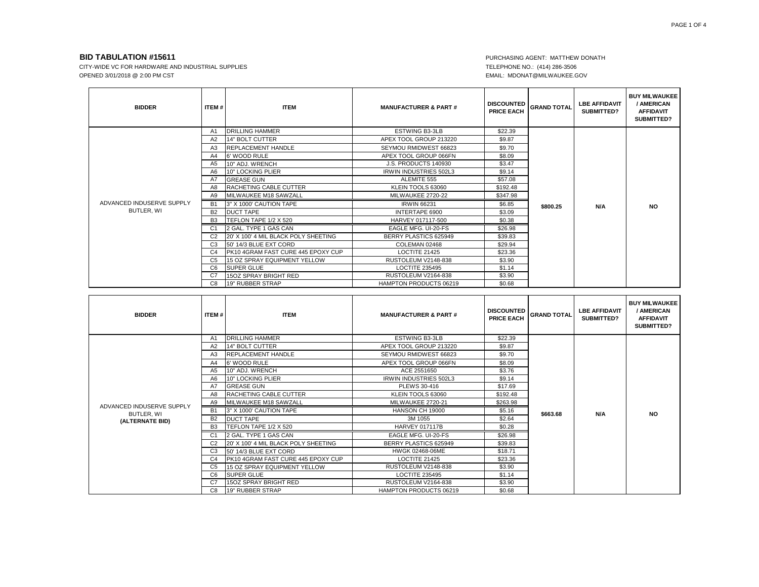CITY-WIDE VC FOR HARDWARE AND INDUSTRIAL SUPPLIES **TELEPHONE NO.: (414) 286-3506** OPENED 3/01/2018 @ 2:00 PM CST

# EMAIL: MDONAT@MILWAUKEE.GOV

| <b>BIDDER</b>                           | <b>ITEM#</b>   | <b>ITEM</b>                          | <b>MANUFACTURER &amp; PART#</b> | <b>DISCOUNTED</b><br><b>PRICE EACH</b> | <b>GRAND TOTAL</b> | <b>LBE AFFIDAVIT</b><br>SUBMITTED? | <b>BUY MILWAUKEE</b><br>/ AMERICAN<br><b>AFFIDAVIT</b><br>SUBMITTED? |
|-----------------------------------------|----------------|--------------------------------------|---------------------------------|----------------------------------------|--------------------|------------------------------------|----------------------------------------------------------------------|
|                                         | A1             | <b>DRILLING HAMMER</b>               | <b>ESTWING B3-3LB</b>           | \$22.39                                |                    |                                    |                                                                      |
|                                         | A2             | 14" BOLT CUTTER                      | APEX TOOL GROUP 213220          | \$9.87                                 |                    | N/A                                | <b>NO</b>                                                            |
|                                         | A3             | <b>REPLACEMENT HANDLE</b>            | SEYMOU RMIDWEST 66823           | \$9.70                                 |                    |                                    |                                                                      |
|                                         | A4             | 6' WOOD RULE                         | APEX TOOL GROUP 066FN           | \$8.09                                 |                    |                                    |                                                                      |
|                                         | A <sub>5</sub> | 10" ADJ. WRENCH                      | J.S. PRODUCTS 140930            | \$3.47                                 |                    |                                    |                                                                      |
|                                         | A6             | 10" LOCKING PLIER                    | <b>IRWIN INDUSTRIES 502L3</b>   | \$9.14                                 | \$800.25           |                                    |                                                                      |
|                                         | A7             | <b>GREASE GUN</b>                    | ALEMITE 555                     | \$57.08                                |                    |                                    |                                                                      |
|                                         | A8             | RACHETING CABLE CUTTER               | KLEIN TOOLS 63060               | \$192.48                               |                    |                                    |                                                                      |
| ADVANCED INDUSERVE SUPPLY<br>BUTLER, WI | A9             | MILWAUKEE M18 SAWZALL                | MILWAUKEE 2720-22               | \$347.98                               |                    |                                    |                                                                      |
|                                         | <b>B1</b>      | 3" X 1000' CAUTION TAPE              | <b>IRWIN 66231</b>              | \$6.85                                 |                    |                                    |                                                                      |
|                                         | <b>B2</b>      | <b>DUCT TAPE</b>                     | INTERTAPE 6900                  | \$3.09                                 |                    |                                    |                                                                      |
|                                         | B <sub>3</sub> | TEFLON TAPE 1/2 X 520                | HARVEY 017117-500               | \$0.38                                 |                    |                                    |                                                                      |
|                                         | C <sub>1</sub> | 2 GAL. TYPE 1 GAS CAN                | EAGLE MFG. UI-20-FS             | \$26.98                                |                    |                                    |                                                                      |
|                                         | C <sub>2</sub> | 20' X 100' 4 MIL BLACK POLY SHEETING | BERRY PLASTICS 625949           | \$39.83                                |                    |                                    |                                                                      |
|                                         | C <sub>3</sub> | 50' 14/3 BLUE EXT CORD               | COLEMAN 02468                   | \$29.94                                |                    |                                    |                                                                      |
|                                         | C4             | PK10 4GRAM FAST CURE 445 EPOXY CUP   | LOCTITE 21425                   | \$23.36                                |                    |                                    |                                                                      |
|                                         | C5             | 15 OZ SPRAY EQUIPMENT YELLOW         | RUSTOLEUM V2148-838             | \$3.90                                 |                    |                                    |                                                                      |
|                                         | C6             | <b>SUPER GLUE</b>                    | <b>LOCTITE 235495</b>           | \$1.14                                 |                    |                                    |                                                                      |
|                                         | C7             | 15OZ SPRAY BRIGHT RED                | RUSTOLEUM V2164-838             | \$3.90                                 |                    |                                    |                                                                      |
|                                         | C8             | 19" RUBBER STRAP                     | <b>HAMPTON PRODUCTS 06219</b>   | \$0.68                                 |                    |                                    |                                                                      |

| <b>BIDDER</b>                           | ITEM#          | <b>ITEM</b>                          | <b>MANUFACTURER &amp; PART#</b> | <b>DISCOUNTED</b><br><b>PRICE EACH</b> | <b>GRAND TOTAL</b> | <b>LBE AFFIDAVIT</b><br>SUBMITTED? | <b>BUY MILWAUKEE</b><br>/ AMERICAN<br><b>AFFIDAVIT</b><br>SUBMITTED? |
|-----------------------------------------|----------------|--------------------------------------|---------------------------------|----------------------------------------|--------------------|------------------------------------|----------------------------------------------------------------------|
|                                         | A1             | <b>DRILLING HAMMER</b>               | <b>ESTWING B3-3LB</b>           | \$22.39                                |                    |                                    |                                                                      |
|                                         | A2             | 14" BOLT CUTTER                      | APEX TOOL GROUP 213220          | \$9.87                                 |                    | N/A                                | <b>NO</b>                                                            |
|                                         | A <sub>3</sub> | <b>REPLACEMENT HANDLE</b>            | SEYMOU RMIDWEST 66823           | \$9.70                                 |                    |                                    |                                                                      |
|                                         | A4             | 6' WOOD RULE                         | APEX TOOL GROUP 066FN           | \$8.09                                 |                    |                                    |                                                                      |
|                                         | A5             | 10" ADJ. WRENCH                      | ACE 2551650                     | \$3.76                                 |                    |                                    |                                                                      |
|                                         | A6             | 10" LOCKING PLIER                    | <b>IRWIN INDUSTRIES 502L3</b>   | \$9.14                                 | \$663.68           |                                    |                                                                      |
|                                         | A7             | <b>GREASE GUN</b>                    | PLEWS 30-416                    | \$17.69                                |                    |                                    |                                                                      |
|                                         | A8             | <b>RACHETING CABLE CUTTER</b>        | KLEIN TOOLS 63060               | \$192.48                               |                    |                                    |                                                                      |
| ADVANCED INDUSERVE SUPPLY<br>BUTLER, WI | A9             | MILWAUKEE M18 SAWZALL                | MILWAUKEE 2720-21               | \$263.98                               |                    |                                    |                                                                      |
|                                         | <b>B1</b>      | 3" X 1000' CAUTION TAPE              | HANSON CH 19000                 | \$5.16                                 |                    |                                    |                                                                      |
| (ALTERNATE BID)                         | <b>B2</b>      | <b>DUCT TAPE</b>                     | 3M 1055                         | \$2.64                                 |                    |                                    |                                                                      |
|                                         | B <sub>3</sub> | TEFLON TAPE 1/2 X 520                | <b>HARVEY 017117B</b>           | \$0.28                                 |                    |                                    |                                                                      |
|                                         | C1             | 2 GAL. TYPE 1 GAS CAN                | EAGLE MFG. UI-20-FS             | \$26.98                                |                    |                                    |                                                                      |
|                                         | C <sub>2</sub> | 20' X 100' 4 MIL BLACK POLY SHEETING | BERRY PLASTICS 625949           | \$39.83                                |                    |                                    |                                                                      |
|                                         | C <sub>3</sub> | 50' 14/3 BLUE EXT CORD               | HWGK 02468-06ME                 | \$18.71                                |                    |                                    |                                                                      |
|                                         | C <sub>4</sub> | PK10 4GRAM FAST CURE 445 EPOXY CUP   | <b>LOCTITE 21425</b>            | \$23.36                                |                    |                                    |                                                                      |
|                                         | C <sub>5</sub> | 15 OZ SPRAY EQUIPMENT YELLOW         | RUSTOLEUM V2148-838             | \$3.90                                 |                    |                                    |                                                                      |
|                                         | C <sub>6</sub> | <b>SUPER GLUE</b>                    | <b>LOCTITE 235495</b>           | \$1.14                                 |                    |                                    |                                                                      |
|                                         | C <sub>7</sub> | <b>15OZ SPRAY BRIGHT RED</b>         | RUSTOLEUM V2164-838             | \$3.90                                 |                    |                                    |                                                                      |
|                                         | C <sub>8</sub> | <b>19" RUBBER STRAP</b>              | HAMPTON PRODUCTS 06219          | \$0.68                                 |                    |                                    |                                                                      |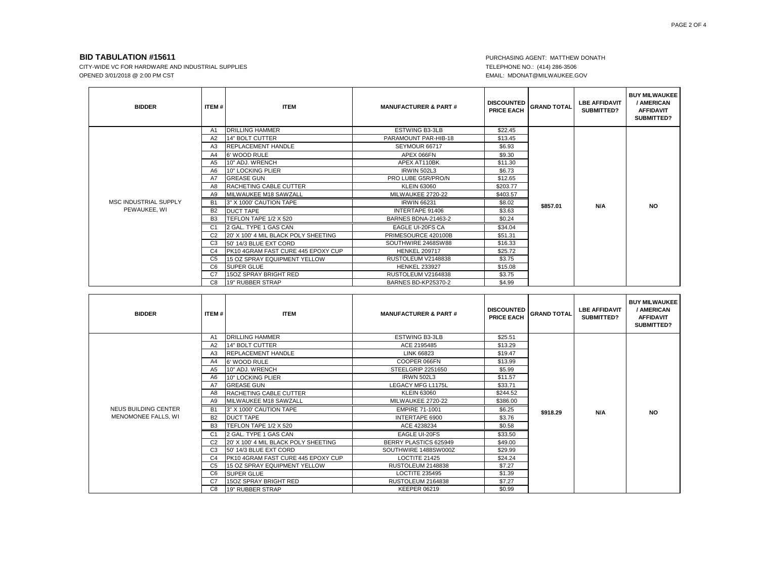CITY-WIDE VC FOR HARDWARE AND INDUSTRIAL SUPPLIES **TELEPHONE NO.: (414) 286-3506** OPENED 3/01/2018 @ 2:00 PM CST EMAIL: MDONAT@MILWAUKEE.GOV

| <b>BIDDER</b>                         | ITEM#          | <b>ITEM</b>                          | <b>MANUFACTURER &amp; PART#</b> | <b>DISCOUNTED</b><br><b>PRICE EACH</b> | <b>GRAND TOTAL</b> | <b>LBE AFFIDAVIT</b><br>SUBMITTED? | <b>BUY MILWAUKEE</b><br>/ AMERICAN<br><b>AFFIDAVIT</b><br>SUBMITTED? |
|---------------------------------------|----------------|--------------------------------------|---------------------------------|----------------------------------------|--------------------|------------------------------------|----------------------------------------------------------------------|
|                                       | A1             | <b>DRILLING HAMMER</b>               | <b>ESTWING B3-3LB</b>           | \$22.45                                |                    |                                    |                                                                      |
|                                       | A2             | 14" BOLT CUTTER                      | PARAMOUNT PAR-HIB-18            | \$13.45                                |                    | N/A                                | <b>NO</b>                                                            |
|                                       | A3             | <b>REPLACEMENT HANDLE</b>            | SEYMOUR 66717                   | \$6.93                                 |                    |                                    |                                                                      |
|                                       | A4             | 6' WOOD RULE                         | APEX 066FN                      | \$9.30                                 |                    |                                    |                                                                      |
|                                       | A5             | 10" ADJ. WRENCH                      | APEX AT110BK                    | \$11.30                                |                    |                                    |                                                                      |
|                                       | A6             | 10" LOCKING PLIER                    | <b>IRWIN 502L3</b>              | \$6.73                                 | \$857.01           |                                    |                                                                      |
|                                       | A7             | <b>GREASE GUN</b>                    | PRO LUBE G5R/PRO/N              | \$12.65                                |                    |                                    |                                                                      |
|                                       | A8             | <b>RACHETING CABLE CUTTER</b>        | <b>KLEIN 63060</b>              | \$203.77                               |                    |                                    |                                                                      |
|                                       | A9             | MILWAUKEE M18 SAWZALL                | MILWAUKEE 2720-22               | \$403.57                               |                    |                                    |                                                                      |
| MSC INDUSTRIAL SUPPLY<br>PEWAUKEE, WI | <b>B1</b>      | 3" X 1000' CAUTION TAPE              | <b>IRWIN 66231</b>              | \$8.02                                 |                    |                                    |                                                                      |
|                                       | <b>B2</b>      | <b>DUCT TAPE</b>                     | INTERTAPE 91406                 | \$3.63                                 |                    |                                    |                                                                      |
|                                       | B <sub>3</sub> | TEFLON TAPE 1/2 X 520                | BARNES BDNA-21463-2             | \$0.24                                 |                    |                                    |                                                                      |
|                                       | C <sub>1</sub> | 2 GAL. TYPE 1 GAS CAN                | EAGLE UI-20FS CA                | \$34.04                                |                    |                                    |                                                                      |
|                                       | C <sub>2</sub> | 20' X 100' 4 MIL BLACK POLY SHEETING | PRIMESOURCE 420100B             | \$51.31                                |                    |                                    |                                                                      |
|                                       | C <sub>3</sub> | 50' 14/3 BLUE EXT CORD               | SOUTHWIRE 2468SW88              | \$16.33                                |                    |                                    |                                                                      |
|                                       | C <sub>4</sub> | PK10 4GRAM FAST CURE 445 EPOXY CUP   | <b>HENKEL 209717</b>            | \$25.72                                |                    |                                    |                                                                      |
|                                       | C <sub>5</sub> | 15 OZ SPRAY EQUIPMENT YELLOW         | RUSTOLEUM V2148838              | \$3.75                                 |                    |                                    |                                                                      |
|                                       | C <sub>6</sub> | <b>SUPER GLUE</b>                    | <b>HENKEL 233927</b>            | \$15.08                                |                    |                                    |                                                                      |
|                                       | C7             | 15OZ SPRAY BRIGHT RED                | RUSTOLEUM V2164838              | \$3.75                                 |                    |                                    |                                                                      |
|                                       | C8             | 19" RUBBER STRAP                     | <b>BARNES BD-KP25370-2</b>      | \$4.99                                 |                    |                                    |                                                                      |

| <b>BIDDER</b>                               | ITEM#          | <b>ITEM</b>                          | <b>MANUFACTURER &amp; PART#</b> | <b>DISCOUNTED</b><br><b>PRICE EACH</b> | <b>GRAND TOTAL</b> | <b>LBE AFFIDAVIT</b><br><b>SUBMITTED?</b> | <b>BUY MILWAUKEE</b><br>/ AMERICAN<br><b>AFFIDAVIT</b><br>SUBMITTED? |
|---------------------------------------------|----------------|--------------------------------------|---------------------------------|----------------------------------------|--------------------|-------------------------------------------|----------------------------------------------------------------------|
|                                             | A1             | <b>DRILLING HAMMER</b>               | <b>ESTWING B3-3LB</b>           | \$25.51                                |                    |                                           |                                                                      |
|                                             | A2             | 14" BOLT CUTTER                      | ACE 2195485                     | \$13.29                                |                    | N/A                                       | <b>NO</b>                                                            |
|                                             | A <sub>3</sub> | <b>REPLACEMENT HANDLE</b>            | LINK 66823                      | \$19.47                                |                    |                                           |                                                                      |
|                                             | A4             | 6' WOOD RULE                         | COOPER 066FN                    | \$13.99                                |                    |                                           |                                                                      |
|                                             | A <sub>5</sub> | 10" ADJ. WRENCH                      | STEELGRIP 2251650               | \$5.99                                 |                    |                                           |                                                                      |
|                                             | A6             | 10" LOCKING PLIER                    | <b>IRWN 502L3</b>               | \$11.57                                | \$918.29           |                                           |                                                                      |
| NEUS BUILDING CENTER<br>MENOMONEE FALLS, WI | A7             | <b>GREASE GUN</b>                    | <b>LEGACY MFG L1175L</b>        | \$33.71                                |                    |                                           |                                                                      |
|                                             | A8             | RACHETING CABLE CUTTER               | <b>KLEIN 63060</b>              | \$244.52                               |                    |                                           |                                                                      |
|                                             | A9             | MILWAUKEE M18 SAWZALL                | MILWAUKEE 2720-22               | \$386.00                               |                    |                                           |                                                                      |
|                                             | B <sub>1</sub> | 3" X 1000' CAUTION TAPE              | <b>EMPIRE 71-1001</b>           | \$6.25                                 |                    |                                           |                                                                      |
|                                             | <b>B2</b>      | <b>DUCT TAPE</b>                     | INTERTAPE 6900                  | \$3.76                                 |                    |                                           |                                                                      |
|                                             | B <sub>3</sub> | TEFLON TAPE 1/2 X 520                | ACE 4238234                     | \$0.58                                 |                    |                                           |                                                                      |
|                                             | C1             | 2 GAL. TYPE 1 GAS CAN                | EAGLE UI-20FS                   | \$33.50                                |                    |                                           |                                                                      |
|                                             | C <sub>2</sub> | 20' X 100' 4 MIL BLACK POLY SHEETING | BERRY PLASTICS 625949           | \$49.00                                |                    |                                           |                                                                      |
|                                             | C <sub>3</sub> | 50' 14/3 BLUE EXT CORD               | SOUTHWIRE 1488SW000Z            | \$29.99                                |                    |                                           |                                                                      |
|                                             | C <sub>4</sub> | PK10 4GRAM FAST CURE 445 EPOXY CUP   | LOCTITE 21425                   | \$24.24                                |                    |                                           |                                                                      |
|                                             | C <sub>5</sub> | 15 OZ SPRAY EQUIPMENT YELLOW         | <b>RUSTOLEUM 2148838</b>        | \$7.27                                 |                    |                                           |                                                                      |
|                                             | C <sub>6</sub> | <b>SUPER GLUE</b>                    | <b>LOCTITE 235495</b>           | \$1.39                                 |                    |                                           |                                                                      |
|                                             | C7             | 15OZ SPRAY BRIGHT RED                | RUSTOLEUM 2164838               | \$7.27                                 |                    |                                           |                                                                      |
|                                             | C <sub>8</sub> | <b>19" RUBBER STRAP</b>              | <b>KEEPER 06219</b>             | \$0.99                                 |                    |                                           |                                                                      |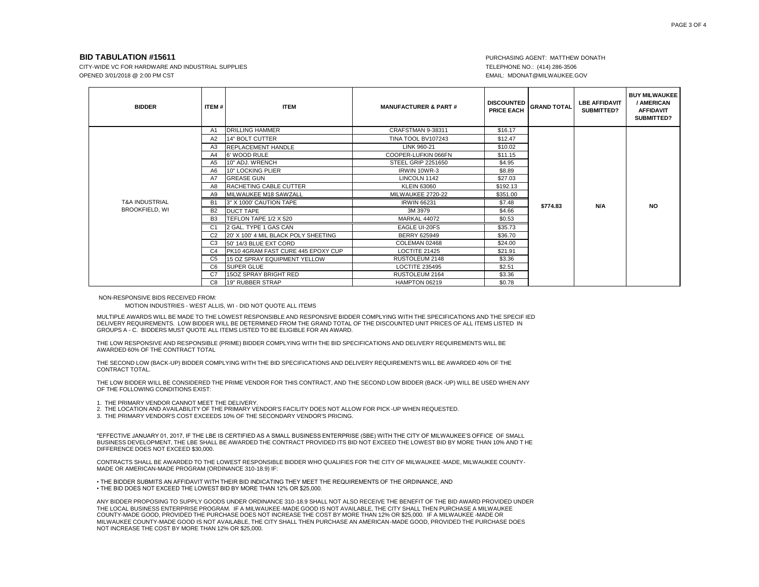CITY-WIDE VC FOR HARDWARE AND INDUSTRIAL SUPPLIES **TELEPHONE NO.: (414) 286-3506** OPENED 3/01/2018 @ 2:00 PM CST EMAIL: MDONAT@MILWAUKEE.GOV

| <b>BIDDER</b>                                      | ITEM#          | <b>ITEM</b>                          | <b>MANUFACTURER &amp; PART#</b> | <b>DISCOUNTED</b><br><b>PRICE EACH</b> | <b>GRAND TOTAL</b> | <b>LBE AFFIDAVIT</b><br><b>SUBMITTED?</b> | <b>BUY MILWAUKEE</b><br>/ AMERICAN<br><b>AFFIDAVIT</b><br>SUBMITTED? |
|----------------------------------------------------|----------------|--------------------------------------|---------------------------------|----------------------------------------|--------------------|-------------------------------------------|----------------------------------------------------------------------|
|                                                    | A1             | <b>DRILLING HAMMER</b>               | CRAFSTMAN 9-38311               | \$16.17                                |                    |                                           |                                                                      |
|                                                    | A2             | 14" BOLT CUTTER                      | TINA TOOL BV107243              | \$12.47                                |                    | N/A                                       | <b>NO</b>                                                            |
|                                                    | A3             | <b>REPLACEMENT HANDLE</b>            | LINK 960-21                     | \$10.02                                |                    |                                           |                                                                      |
|                                                    | A4             | 6' WOOD RULE                         | COOPER-LUFKIN 066FN             | \$11.15                                |                    |                                           |                                                                      |
|                                                    | A5             | 10" ADJ. WRENCH                      | <b>STEEL GRIP 2251650</b>       | \$4.95                                 |                    |                                           |                                                                      |
|                                                    | A6             | 10" LOCKING PLIER                    | IRWIN 10WR-3                    | \$8.89                                 | \$774.83           |                                           |                                                                      |
|                                                    | Α7             | <b>GREASE GUN</b>                    | LINCOLN 1142                    | \$27.03                                |                    |                                           |                                                                      |
|                                                    | A8             | RACHETING CABLE CUTTER               | <b>KLEIN 63060</b>              | \$192.13                               |                    |                                           |                                                                      |
|                                                    | A9             | MILWAUKEE M18 SAWZALL                | MILWAUKEE 2720-22               | \$351.00                               |                    |                                           |                                                                      |
| <b>T&amp;A INDUSTRIAL</b><br><b>BROOKFIELD, WI</b> | <b>B1</b>      | 3" X 1000' CAUTION TAPE              | <b>IRWIN 66231</b>              | \$7.48                                 |                    |                                           |                                                                      |
|                                                    | <b>B2</b>      | <b>DUCT TAPE</b>                     | 3M 3979                         | \$4.66                                 |                    |                                           |                                                                      |
|                                                    | B <sub>3</sub> | TEFLON TAPE 1/2 X 520                | <b>MARKAL 44072</b>             | \$0.53                                 |                    |                                           |                                                                      |
|                                                    | C <sub>1</sub> | 2 GAL. TYPE 1 GAS CAN                | <b>EAGLE UI-20FS</b>            | \$35.73                                |                    |                                           |                                                                      |
|                                                    | C <sub>2</sub> | 20' X 100' 4 MIL BLACK POLY SHEETING | <b>BERRY 625949</b>             | \$36.70                                |                    |                                           |                                                                      |
|                                                    | C <sub>3</sub> | 50' 14/3 BLUE EXT CORD               | COLEMAN 02468                   | \$24.00                                |                    |                                           |                                                                      |
|                                                    | C <sub>4</sub> | PK10 4GRAM FAST CURE 445 EPOXY CUP   | <b>LOCTITE 21425</b>            | \$21.91                                |                    |                                           |                                                                      |
|                                                    | C <sub>5</sub> | 15 OZ SPRAY EQUIPMENT YELLOW         | RUSTOLEUM 2148                  | \$3.36                                 |                    |                                           |                                                                      |
|                                                    | C <sub>6</sub> | <b>SUPER GLUE</b>                    | <b>LOCTITE 235495</b>           | \$2.51                                 |                    |                                           |                                                                      |
|                                                    | C <sub>7</sub> | 15OZ SPRAY BRIGHT RED                | RUSTOLEUM 2164                  | \$3.36                                 |                    |                                           |                                                                      |
|                                                    | C8             | 19" RUBBER STRAP                     | HAMPTON 06219                   | \$0.78                                 |                    |                                           |                                                                      |

NON-RESPONSIVE BIDS RECEIVED FROM:

MOTION INDUSTRIES - WEST ALLIS, WI - DID NOT QUOTE ALL ITEMS

MULTIPLE AWARDS WILL BE MADE TO THE LOWEST RESPONSIBLE AND RESPONSIVE BIDDER COMPLYING WITH THE SPECIFICATIONS AND THE SPECIF IED DELIVERY REQUIREMENTS. LOW BIDDER WILL BE DETERMINED FROM THE GRAND TOTAL OF THE DISCOUNTED UNIT PRICES OF ALL ITEMS LISTED IN GROUPS A - C. BIDDERS MUST QUOTE ALL ITEMS LISTED TO BE ELIGIBLE FOR AN AWARD.

THE LOW RESPONSIVE AND RESPONSIBLE (PRIME) BIDDER COMPLYING WITH THE BID SPECIFICATIONS AND DELIVERY REQUIREMENTS WILL BE AWARDED 60% OF THE CONTRACT TOTAL

THE SECOND LOW (BACK-UP) BIDDER COMPLYING WITH THE BID SPECIFICATIONS AND DELIVERY REQUIREMENTS WILL BE AWARDED 40% OF THE CONTRACT TOTAL.

THE LOW BIDDER WILL BE CONSIDERED THE PRIME VENDOR FOR THIS CONTRACT, AND THE SECOND LOW BIDDER (BACK -UP) WILL BE USED WHEN ANY OF THE FOLLOWING CONDITIONS EXIST:

- 1. THE PRIMARY VENDOR CANNOT MEET THE DELIVERY.
- 2. THE LOCATION AND AVAILABILITY OF THE PRIMARY VENDOR'S FACILITY DOES NOT ALLOW FOR PICK -UP WHEN REQUESTED.
- 3. THE PRIMARY VENDOR'S COST EXCEEDS 10% OF THE SECONDARY VENDOR'S PRICING.

"EFFECTIVE JANUARY 01, 2017, IF THE LBE IS CERTIFIED AS A SMALL BUSINESS ENTERPRISE (SBE) WITH THE CITY OF MILWAUKEE'S OFFICE OF SMALL BUSINESS DEVELOPMENT, THE LBE SHALL BE AWARDED THE CONTRACT PROVIDED ITS BID NOT EXCEED THE LOWEST BID BY MORE THAN 10% AND T HE DIFFERENCE DOES NOT EXCEED \$30,000.

CONTRACTS SHALL BE AWARDED TO THE LOWEST RESPONSIBLE BIDDER WHO QUALIFIES FOR THE CITY OF MILWAUKEE -MADE, MILWAUKEE COUNTY-MADE OR AMERICAN-MADE PROGRAM (ORDINANCE 310-18.9) IF:

• THE BIDDER SUBMITS AN AFFIDAVIT WITH THEIR BID INDICATING THEY MEET THE REQUIREMENTS OF THE ORDINANCE, AND • THE BID DOES NOT EXCEED THE LOWEST BID BY MORE THAN 12% OR \$25,000.

ANY BIDDER PROPOSING TO SUPPLY GOODS UNDER ORDINANCE 310-18.9 SHALL NOT ALSO RECEIVE THE BENEFIT OF THE BID AWARD PROVIDED UNDER THE LOCAL BUSINESS ENTERPRISE PROGRAM. IF A MILWAUKEE-MADE GOOD IS NOT AVAILABLE, THE CITY SHALL THEN PURCHASE A MILWAUKEE COUNTY-MADE GOOD, PROVIDED THE PURCHASE DOES NOT INCREASE THE COST BY MORE THAN 12% OR \$25,000. IF A MILWAUKEE -MADE OR MILWAUKEE COUNTY-MADE GOOD IS NOT AVAILABLE, THE CITY SHALL THEN PURCHASE AN AMERICAN-MADE GOOD, PROVIDED THE PURCHASE DOES NOT INCREASE THE COST BY MORE THAN 12% OR \$25,000.